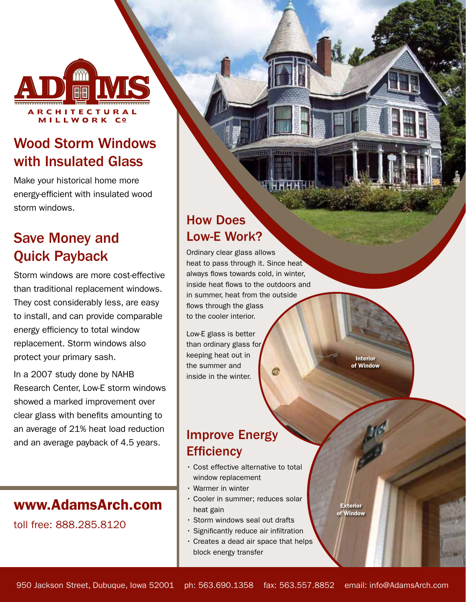

# Wood Storm Windows with Insulated Glass

Make your historical home more energy-efficient with insulated wood storm windows.

# Save Money and Quick Payback

Storm windows are more cost-effective than traditional replacement windows. They cost considerably less, are easy to install, and can provide comparable energy efficiency to total window replacement. Storm windows also protect your primary sash.

In a 2007 study done by NAHB Research Center, Low-E storm windows showed a marked improvement over clear glass with benefits amounting to an average of 21% heat load reduction and an average payback of 4.5 years.

## www.AdamsArch.com

toll free: 888.285.8120

## How Does Low-E Work?

Ordinary clear glass allows heat to pass through it. Since heat always flows towards cold, in winter, inside heat flows to the outdoors and in summer, heat from the outside flows through the glass to the cooler interior.

Low-E glass is better than ordinary glass for keeping heat out in the summer and inside in the winter.

Interior of Window

Exterior of Window

## Improve Energy **Efficiency**

- Cost effective alternative to total window replacement
- Warmer in winter
- Cooler in summer; reduces solar heat gain
- Storm windows seal out drafts
- Significantly reduce air infiltration
- Creates a dead air space that helps block energy transfer